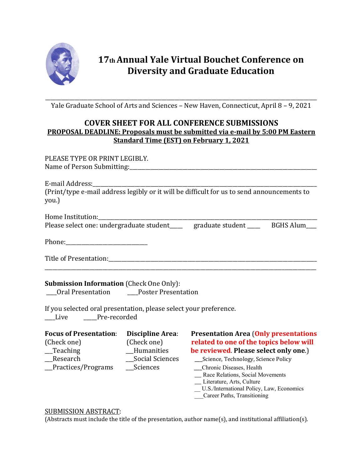

## **17th Annual Yale Virtual Bouchet Conference on Diversity and Graduate Education**

\_\_\_\_\_\_\_\_\_\_\_\_\_\_\_\_\_\_\_\_\_\_\_\_\_\_\_\_\_\_\_\_\_\_\_\_\_\_\_\_\_\_\_\_\_\_\_\_\_\_\_\_\_\_\_\_\_\_\_\_\_\_\_\_\_\_\_\_\_\_\_\_\_\_\_\_\_\_\_\_\_\_\_\_\_\_\_\_\_\_\_\_\_\_\_\_\_\_\_\_\_\_\_ Yale Graduate School of Arts and Sciences – New Haven, Connecticut, April 8 – 9, 2021

## **COVER SHEET FOR ALL CONFERENCE SUBMISSIONS PROPOSAL DEADLINE: Proposals must be submitted via e-mail by 5:00 PM Eastern Standard Time (EST) on February 1, 2021**

| PLEASE TYPE OR PRINT LEGIBLY.                                                                                  |  |  |  |  |  |  |
|----------------------------------------------------------------------------------------------------------------|--|--|--|--|--|--|
| (Print/type e-mail address legibly or it will be difficult for us to send announcements to<br>you.)            |  |  |  |  |  |  |
|                                                                                                                |  |  |  |  |  |  |
| Please select one: undergraduate student _____ graduate student _____ BGHS Alum                                |  |  |  |  |  |  |
| Phone: 2008 2010 2010 2021 2022 2023 2024 2022 2023 2024 2022 2023 2024 2022 2023 2024 2025 2026 2027 2028 202 |  |  |  |  |  |  |
|                                                                                                                |  |  |  |  |  |  |
| <b>Submission Information (Check One Only):</b><br>___Oral Presentation ____Poster Presentation                |  |  |  |  |  |  |

If you selected oral presentation, please select your preference. \_\_\_\_Live \_\_\_\_\_Pre-recorded

| <b>Focus of Presentation:</b> | Discipline Area: | <b>Presentation Area (Only presentations</b> |
|-------------------------------|------------------|----------------------------------------------|
| (Check one)                   | (Check one)      | related to one of the topics below will      |
| Teaching                      | Humanities       | be reviewed. Please select only one.)        |
| Research                      | _Social Sciences | ___ Science, Technology, Science Policy      |
| Practices/Programs            | Sciences         | Chronic Diseases, Health                     |
|                               |                  | _ Race Relations, Social Movements           |
|                               |                  | _ Literature, Arts, Culture                  |
|                               |                  | U.S./International Policy, Law, Economics    |

\_\_\_Career Paths, Transitioning

## SUBMISSION ABSTRACT:

(Abstracts must include the title of the presentation, author name(s), and institutional affiliation(s).